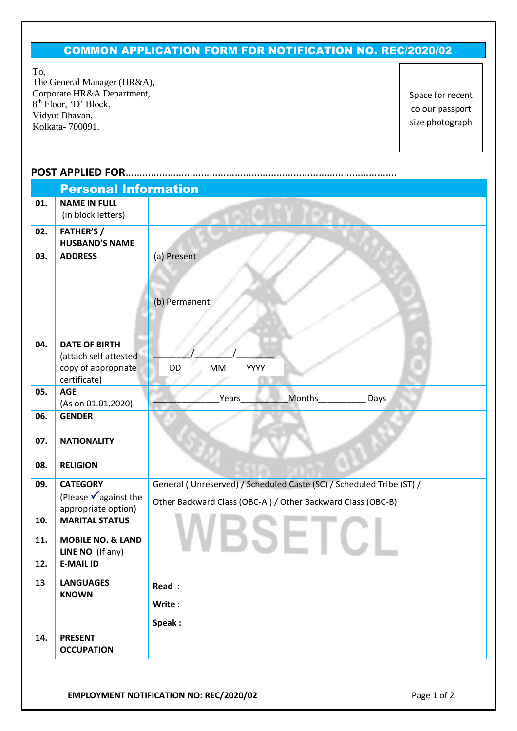## COMMON APPLICATION FORM FOR NOTIFICATION NO. REC/2020/02

To,

The General Manager (HR&A), Corporate HR&A Department, 8<sup>th</sup> Floor, 'D' Block, Vidyut Bhavan, Kolkata- 700091.

Space for recent colour passport size photograph

## **POST APPLIED FOR**…………………………………………………………………………………….

|     | <b>Personal Information</b>                                                |                                                                                                                                     |
|-----|----------------------------------------------------------------------------|-------------------------------------------------------------------------------------------------------------------------------------|
| 01. | <b>NAME IN FULL</b><br>(in block letters)                                  |                                                                                                                                     |
| 02. | <b>FATHER'S /</b><br><b>HUSBAND'S NAME</b>                                 |                                                                                                                                     |
| 03. | <b>ADDRESS</b>                                                             | (a) Present                                                                                                                         |
|     |                                                                            | (b) Permanent                                                                                                                       |
| 04. | <b>DATE OF BIRTH</b><br>(attach self attested                              |                                                                                                                                     |
|     | copy of appropriate<br>certificate)                                        | DD<br>YYYY<br>MM                                                                                                                    |
| 05. | <b>AGE</b>                                                                 | Months_<br>Years<br>Days                                                                                                            |
| 06. | (As on 01.01.2020)<br><b>GENDER</b>                                        |                                                                                                                                     |
|     |                                                                            |                                                                                                                                     |
| 07. | <b>NATIONALITY</b>                                                         |                                                                                                                                     |
| 08. | <b>RELIGION</b>                                                            |                                                                                                                                     |
| 09. | <b>CATEGORY</b><br>(Please $\checkmark$ against the<br>appropriate option) | General (Unreserved) / Scheduled Caste (SC) / Scheduled Tribe (ST) /<br>Other Backward Class (OBC-A) / Other Backward Class (OBC-B) |
| 10. | <b>MARITAL STATUS</b>                                                      |                                                                                                                                     |
| 11. | <b>MOBILE NO. &amp; LAND</b><br>LINE NO (If any)                           |                                                                                                                                     |
| 12. | <b>E-MAIL ID</b>                                                           |                                                                                                                                     |
| 13  | <b>LANGUAGES</b>                                                           | Read :                                                                                                                              |
|     | <b>KNOWN</b>                                                               | Write:                                                                                                                              |
|     |                                                                            | Speak:                                                                                                                              |
| 14. | <b>PRESENT</b><br><b>OCCUPATION</b>                                        |                                                                                                                                     |
|     |                                                                            |                                                                                                                                     |